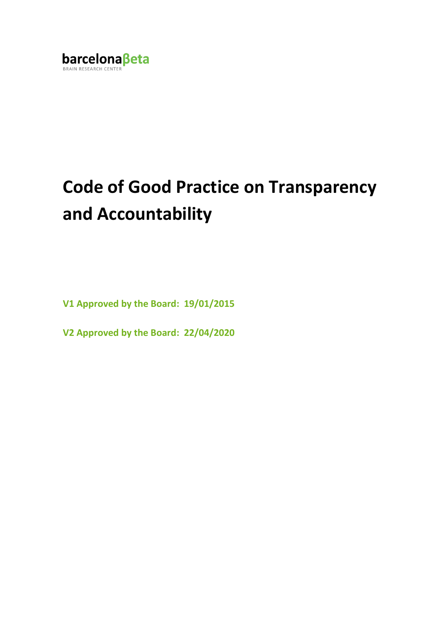

# **Code of Good Practice on Transparency and Accountability**

**V1 Approved by the Board: 19/01/2015**

**V2 Approved by the Board: 22/04/2020**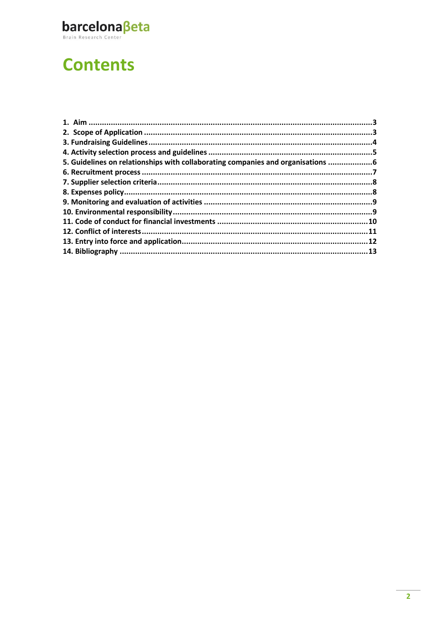

## **Contents**

| 5. Guidelines on relationships with collaborating companies and organisations 6 |  |
|---------------------------------------------------------------------------------|--|
|                                                                                 |  |
|                                                                                 |  |
|                                                                                 |  |
|                                                                                 |  |
|                                                                                 |  |
|                                                                                 |  |
|                                                                                 |  |
|                                                                                 |  |
|                                                                                 |  |
|                                                                                 |  |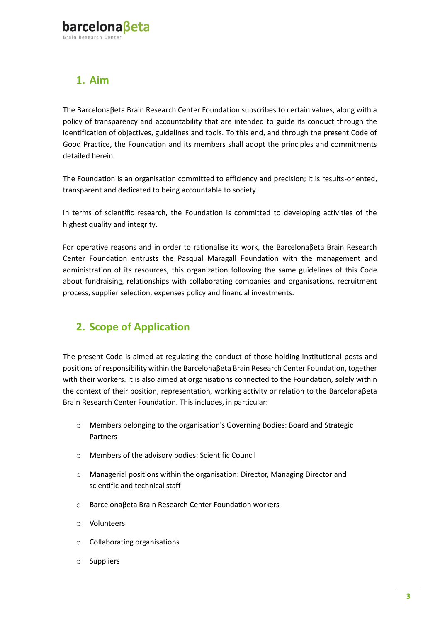#### <span id="page-2-0"></span>**1. Aim**

The Barcelonaβeta Brain Research Center Foundation subscribes to certain values, along with a policy of transparency and accountability that are intended to guide its conduct through the identification of objectives, guidelines and tools. To this end, and through the present Code of Good Practice, the Foundation and its members shall adopt the principles and commitments detailed herein.

The Foundation is an organisation committed to efficiency and precision; it is results-oriented, transparent and dedicated to being accountable to society.

In terms of scientific research, the Foundation is committed to developing activities of the highest quality and integrity.

For operative reasons and in order to rationalise its work, the Barcelonaβeta Brain Research Center Foundation entrusts the Pasqual Maragall Foundation with the management and administration of its resources, this organization following the same guidelines of this Code about fundraising, relationships with collaborating companies and organisations, recruitment process, supplier selection, expenses policy and financial investments.

#### <span id="page-2-1"></span>**2. Scope of Application**

The present Code is aimed at regulating the conduct of those holding institutional posts and positions of responsibility within the Barcelonaβeta Brain Research Center Foundation, together with their workers. It is also aimed at organisations connected to the Foundation, solely within the context of their position, representation, working activity or relation to the Barcelonaβeta Brain Research Center Foundation. This includes, in particular:

- o Members belonging to the organisation's Governing Bodies: Board and Strategic Partners
- o Members of the advisory bodies: Scientific Council
- o Managerial positions within the organisation: Director, Managing Director and scientific and technical staff
- o Barcelonaβeta Brain Research Center Foundation workers
- o Volunteers
- o Collaborating organisations
- o Suppliers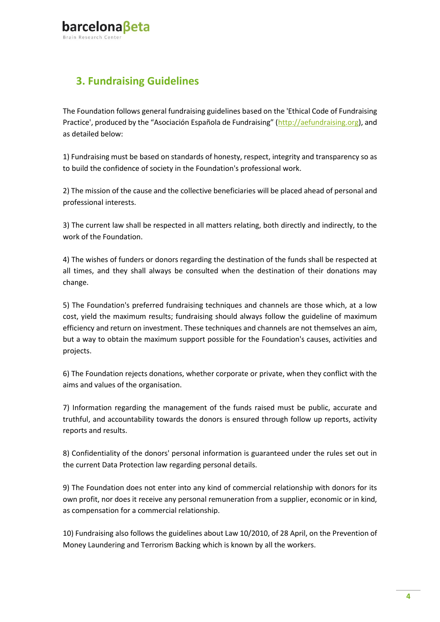#### <span id="page-3-0"></span>**3. Fundraising Guidelines**

The Foundation follows general fundraising guidelines based on the 'Ethical Code of Fundraising Practice', produced by the "Asociación Española de Fundraising" ([http://aefundraising.org\)](http://aefundraising.org/), and as detailed below:

1) Fundraising must be based on standards of honesty, respect, integrity and transparency so as to build the confidence of society in the Foundation's professional work.

2) The mission of the cause and the collective beneficiaries will be placed ahead of personal and professional interests.

3) The current law shall be respected in all matters relating, both directly and indirectly, to the work of the Foundation.

4) The wishes of funders or donors regarding the destination of the funds shall be respected at all times, and they shall always be consulted when the destination of their donations may change.

5) The Foundation's preferred fundraising techniques and channels are those which, at a low cost, yield the maximum results; fundraising should always follow the guideline of maximum efficiency and return on investment. These techniques and channels are not themselves an aim, but a way to obtain the maximum support possible for the Foundation's causes, activities and projects.

6) The Foundation rejects donations, whether corporate or private, when they conflict with the aims and values of the organisation.

7) Information regarding the management of the funds raised must be public, accurate and truthful, and accountability towards the donors is ensured through follow up reports, activity reports and results.

8) Confidentiality of the donors' personal information is guaranteed under the rules set out in the current Data Protection law regarding personal details.

9) The Foundation does not enter into any kind of commercial relationship with donors for its own profit, nor does it receive any personal remuneration from a supplier, economic or in kind, as compensation for a commercial relationship.

10) Fundraising also follows the guidelines about Law 10/2010, of 28 April, on the Prevention of Money Laundering and Terrorism Backing which is known by all the workers.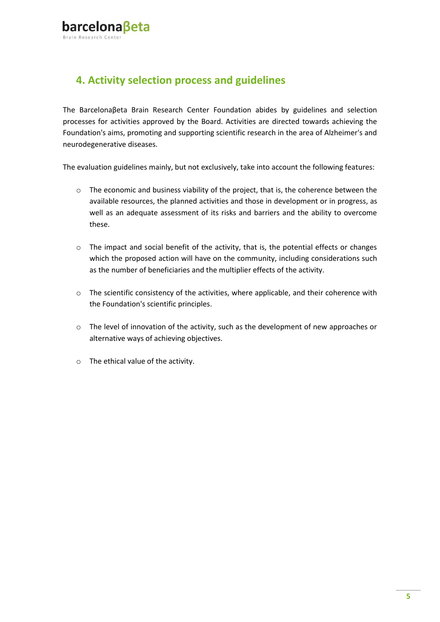#### <span id="page-4-0"></span>**4. Activity selection process and guidelines**

The Barcelonaβeta Brain Research Center Foundation abides by guidelines and selection processes for activities approved by the Board. Activities are directed towards achieving the Foundation's aims, promoting and supporting scientific research in the area of Alzheimer's and neurodegenerative diseases.

The evaluation guidelines mainly, but not exclusively, take into account the following features:

- $\circ$  The economic and business viability of the project, that is, the coherence between the available resources, the planned activities and those in development or in progress, as well as an adequate assessment of its risks and barriers and the ability to overcome these.
- $\circ$  The impact and social benefit of the activity, that is, the potential effects or changes which the proposed action will have on the community, including considerations such as the number of beneficiaries and the multiplier effects of the activity.
- o The scientific consistency of the activities, where applicable, and their coherence with the Foundation's scientific principles.
- o The level of innovation of the activity, such as the development of new approaches or alternative ways of achieving objectives.
- o The ethical value of the activity.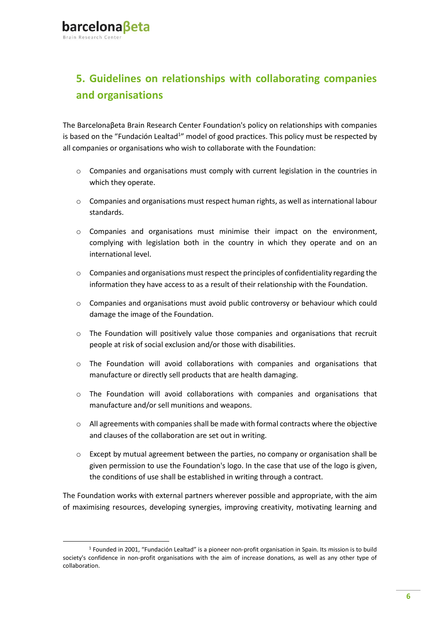### <span id="page-5-0"></span>**5. Guidelines on relationships with collaborating companies and organisations**

The Barcelonaβeta Brain Research Center Foundation's policy on relationships with companies is based on the "Fundación Lealtad<sup>1</sup>" model of good practices. This policy must be respected by all companies or organisations who wish to collaborate with the Foundation:

- $\circ$  Companies and organisations must comply with current legislation in the countries in which they operate.
- $\circ$  Companies and organisations must respect human rights, as well as international labour standards.
- $\circ$  Companies and organisations must minimise their impact on the environment, complying with legislation both in the country in which they operate and on an international level.
- $\circ$  Companies and organisations must respect the principles of confidentiality regarding the information they have access to as a result of their relationship with the Foundation.
- o Companies and organisations must avoid public controversy or behaviour which could damage the image of the Foundation.
- $\circ$  The Foundation will positively value those companies and organisations that recruit people at risk of social exclusion and/or those with disabilities.
- o The Foundation will avoid collaborations with companies and organisations that manufacture or directly sell products that are health damaging.
- o The Foundation will avoid collaborations with companies and organisations that manufacture and/or sell munitions and weapons.
- o All agreements with companies shall be made with formal contracts where the objective and clauses of the collaboration are set out in writing.
- o Except by mutual agreement between the parties, no company or organisation shall be given permission to use the Foundation's logo. In the case that use of the logo is given, the conditions of use shall be established in writing through a contract.

The Foundation works with external partners wherever possible and appropriate, with the aim of maximising resources, developing synergies, improving creativity, motivating learning and

**<sup>.</sup>** <sup>1</sup> Founded in 2001, "Fundación Lealtad" is a pioneer non-profit organisation in Spain. Its mission is to build society's confidence in non-profit organisations with the aim of increase donations, as well as any other type of collaboration.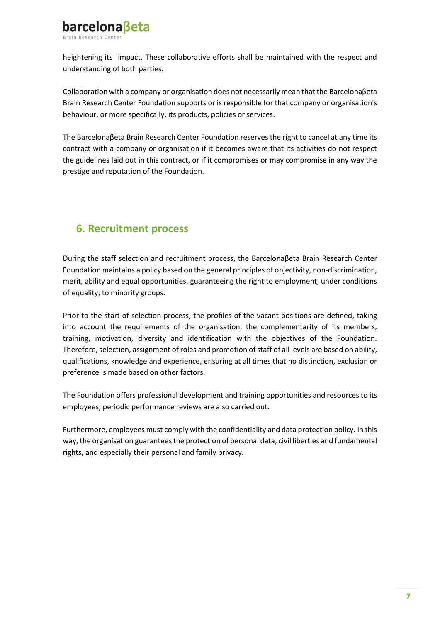

heightening its impact. These collaborative efforts shall be maintained with the respect and understanding of both parties.

Collaboration with a company or organisation does not necessarily mean that the Barcelonaβeta Brain Research Center Foundation supports or is responsible for that company or organisation's behaviour, or more specifically, its products, policies or services.

The Barcelonaβeta Brain Research Center Foundation reserves the right to cancel at any time its contract with a company or organisation if it becomes aware that its activities do not respect the guidelines laid out in this contract, or if it compromises or may compromise in any way the prestige and reputation of the Foundation.

#### <span id="page-6-0"></span>**6. Recruitment process**

During the staff selection and recruitment process, the Barcelonaβeta Brain Research Center Foundation maintains a policy based on the general principles of objectivity, non-discrimination, merit, ability and equal opportunities, guaranteeing the right to employment, under conditions of equality, to minority groups.

Prior to the start of selection process, the profiles of the vacant positions are defined, taking into account the requirements of the organisation, the complementarity of its members, training, motivation, diversity and identification with the objectives of the Foundation. Therefore, selection, assignment of roles and promotion of staff of all levels are based on ability, qualifications, knowledge and experience, ensuring at all times that no distinction, exclusion or preference is made based on other factors.

The Foundation offers professional development and training opportunities and resources to its employees; periodic performance reviews are also carried out.

Furthermore, employees must comply with the confidentiality and data protection policy. In this way, the organisation guarantees the protection of personal data, civil liberties and fundamental rights, and especially their personal and family privacy.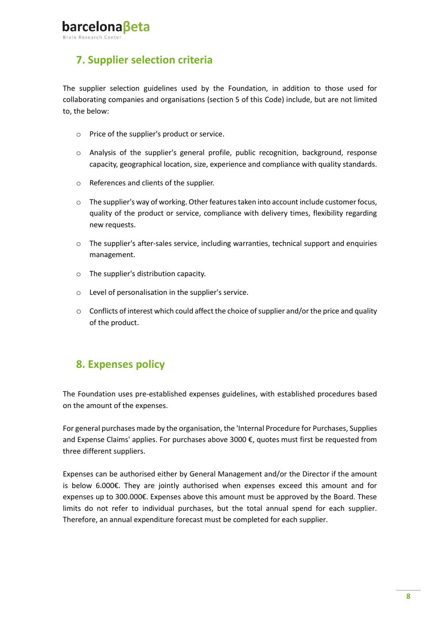#### <span id="page-7-0"></span>**7. Supplier selection criteria**

The supplier selection guidelines used by the Foundation, in addition to those used for collaborating companies and organisations (section 5 of this Code) include, but are not limited to, the below:

- o Price of the supplier's product or service.
- o Analysis of the supplier's general profile, public recognition, background, response capacity, geographical location, size, experience and compliance with quality standards.
- o References and clients of the supplier.
- o The supplier's way of working. Other features taken into account include customer focus, quality of the product or service, compliance with delivery times, flexibility regarding new requests.
- o The supplier's after-sales service, including warranties, technical support and enquiries management.
- o The supplier's distribution capacity.
- o Level of personalisation in the supplier's service.
- o Conflicts of interest which could affect the choice of supplier and/or the price and quality of the product.

#### <span id="page-7-1"></span>**8. Expenses policy**

The Foundation uses pre-established expenses guidelines, with established procedures based on the amount of the expenses.

For general purchases made by the organisation, the 'Internal Procedure for Purchases, Supplies and Expense Claims' applies. For purchases above 3000 €, quotes must first be requested from three different suppliers.

Expenses can be authorised either by General Management and/or the Director if the amount is below 6.000€. They are jointly authorised when expenses exceed this amount and for expenses up to 300.000€. Expenses above this amount must be approved by the Board. These limits do not refer to individual purchases, but the total annual spend for each supplier. Therefore, an annual expenditure forecast must be completed for each supplier.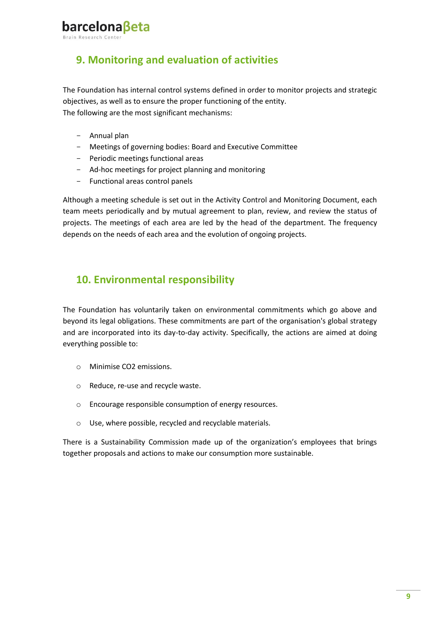## barcelonaßeta

Brain Research Cente

#### <span id="page-8-0"></span>**9. Monitoring and evaluation of activities**

The Foundation has internal control systems defined in order to monitor projects and strategic objectives, as well as to ensure the proper functioning of the entity. The following are the most significant mechanisms:

- Annual plan
- Meetings of governing bodies: Board and Executive Committee
- Periodic meetings functional areas
- Ad-hoc meetings for project planning and monitoring
- Functional areas control panels

Although a meeting schedule is set out in the Activity Control and Monitoring Document, each team meets periodically and by mutual agreement to plan, review, and review the status of projects. The meetings of each area are led by the head of the department. The frequency depends on the needs of each area and the evolution of ongoing projects.

#### <span id="page-8-1"></span>**10. Environmental responsibility**

The Foundation has voluntarily taken on environmental commitments which go above and beyond its legal obligations. These commitments are part of the organisation's global strategy and are incorporated into its day-to-day activity. Specifically, the actions are aimed at doing everything possible to:

- o Minimise CO2 emissions.
- o Reduce, re-use and recycle waste.
- o Encourage responsible consumption of energy resources.
- o Use, where possible, recycled and recyclable materials.

There is a Sustainability Commission made up of the organization's employees that brings together proposals and actions to make our consumption more sustainable.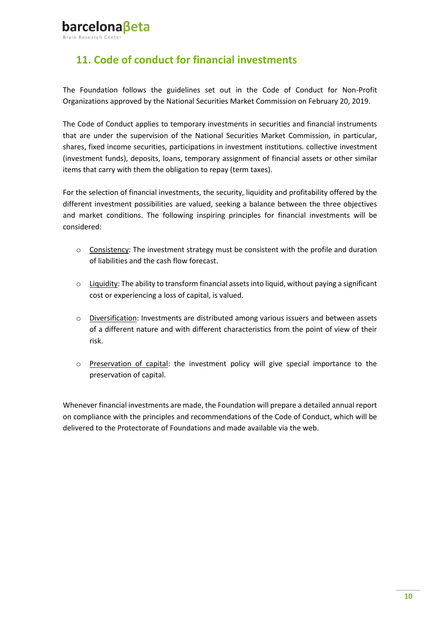#### <span id="page-9-0"></span>**11. Code of conduct for financial investments**

The Foundation follows the guidelines set out in the Code of Conduct for Non-Profit Organizations approved by the National Securities Market Commission on February 20, 2019.

The Code of Conduct applies to temporary investments in securities and financial instruments that are under the supervision of the National Securities Market Commission, in particular, shares, fixed income securities, participations in investment institutions. collective investment (investment funds), deposits, loans, temporary assignment of financial assets or other similar items that carry with them the obligation to repay (term taxes).

For the selection of financial investments, the security, liquidity and profitability offered by the different investment possibilities are valued, seeking a balance between the three objectives and market conditions. The following inspiring principles for financial investments will be considered:

- $\circ$  Consistency: The investment strategy must be consistent with the profile and duration of liabilities and the cash flow forecast.
- $\circ$  Liquidity: The ability to transform financial assets into liquid, without paying a significant cost or experiencing a loss of capital, is valued.
- o Diversification: Investments are distributed among various issuers and between assets of a different nature and with different characteristics from the point of view of their risk.
- $\circ$  Preservation of capital: the investment policy will give special importance to the preservation of capital.

Whenever financial investments are made, the Foundation will prepare a detailed annual report on compliance with the principles and recommendations of the Code of Conduct, which will be delivered to the Protectorate of Foundations and made available via the web.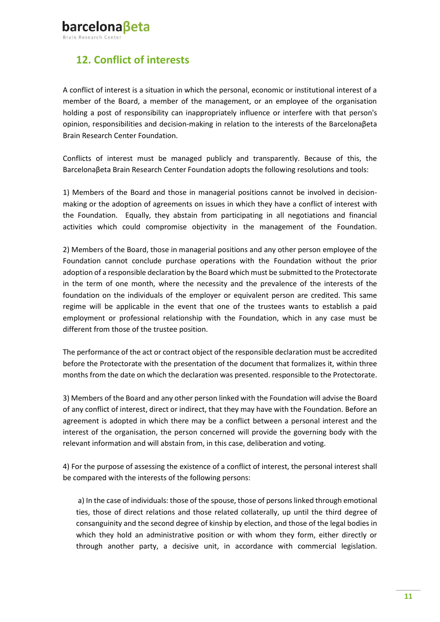## barcelona Beta

Brain Research Cente

#### <span id="page-10-0"></span>**12. Conflict of interests**

A conflict of interest is a situation in which the personal, economic or institutional interest of a member of the Board, a member of the management, or an employee of the organisation holding a post of responsibility can inappropriately influence or interfere with that person's opinion, responsibilities and decision-making in relation to the interests of the Barcelonaβeta Brain Research Center Foundation.

Conflicts of interest must be managed publicly and transparently. Because of this, the Barcelonaβeta Brain Research Center Foundation adopts the following resolutions and tools:

1) Members of the Board and those in managerial positions cannot be involved in decisionmaking or the adoption of agreements on issues in which they have a conflict of interest with the Foundation. Equally, they abstain from participating in all negotiations and financial activities which could compromise objectivity in the management of the Foundation.

2) Members of the Board, those in managerial positions and any other person employee of the Foundation cannot conclude purchase operations with the Foundation without the prior adoption of a responsible declaration by the Board which must be submitted to the Protectorate in the term of one month, where the necessity and the prevalence of the interests of the foundation on the individuals of the employer or equivalent person are credited. This same regime will be applicable in the event that one of the trustees wants to establish a paid employment or professional relationship with the Foundation, which in any case must be different from those of the trustee position.

The performance of the act or contract object of the responsible declaration must be accredited before the Protectorate with the presentation of the document that formalizes it, within three months from the date on which the declaration was presented. responsible to the Protectorate.

3) Members of the Board and any other person linked with the Foundation will advise the Board of any conflict of interest, direct or indirect, that they may have with the Foundation. Before an agreement is adopted in which there may be a conflict between a personal interest and the interest of the organisation, the person concerned will provide the governing body with the relevant information and will abstain from, in this case, deliberation and voting.

4) For the purpose of assessing the existence of a conflict of interest, the personal interest shall be compared with the interests of the following persons:

a) In the case of individuals: those of the spouse, those of persons linked through emotional ties, those of direct relations and those related collaterally, up until the third degree of consanguinity and the second degree of kinship by election, and those of the legal bodies in which they hold an administrative position or with whom they form, either directly or through another party, a decisive unit, in accordance with commercial legislation.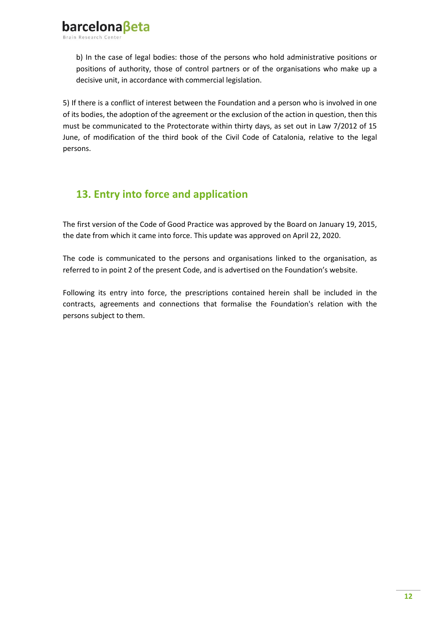b) In the case of legal bodies: those of the persons who hold administrative positions or positions of authority, those of control partners or of the organisations who make up a decisive unit, in accordance with commercial legislation.

5) If there is a conflict of interest between the Foundation and a person who is involved in one of its bodies, the adoption of the agreement or the exclusion of the action in question, then this must be communicated to the Protectorate within thirty days, as set out in Law 7/2012 of 15 June, of modification of the third book of the Civil Code of Catalonia, relative to the legal persons.

#### <span id="page-11-0"></span>**13. Entry into force and application**

The first version of the Code of Good Practice was approved by the Board on January 19, 2015, the date from which it came into force. This update was approved on April 22, 2020.

The code is communicated to the persons and organisations linked to the organisation, as referred to in point 2 of the present Code, and is advertised on the Foundation's website.

Following its entry into force, the prescriptions contained herein shall be included in the contracts, agreements and connections that formalise the Foundation's relation with the persons subject to them.